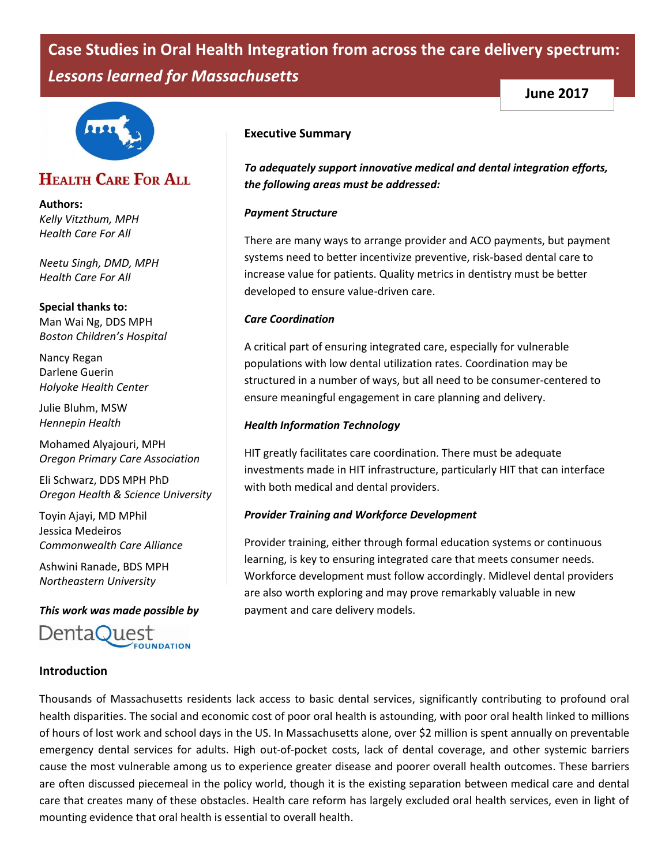# **Case Studies in Oral Health Integration from across the care delivery spectrum:**  *Lessons learned for Massachusetts*



# **HEALTH CARE FOR ALL**

**Authors:** *Kelly Vitzthum, MPH Health Care For All* 

*Neetu Singh, DMD, MPH Health Care For All* 

**Special thanks to:** Man Wai Ng, DDS MPH *Boston Children's Hospital* 

Nancy Regan Darlene Guerin *Holyoke Health Center*

Julie Bluhm, MSW *Hennepin Health*

Mohamed Alyajouri, MPH *Oregon Primary Care Association*

Eli Schwarz, DDS MPH PhD *Oregon Health & Science University*

Toyin Ajayi, MD MPhil Jessica Medeiros *Commonwealth Care Alliance*

Ashwini Ranade, BDS MPH *Northeastern University*

*This work was made possible by*

DentaQuest **FOUNDATION** 

# **Introduction**

#### **Executive Summary**

*To adequately support innovative medical and dental integration efforts, the following areas must be addressed:*

**June 2017**

#### *Payment Structure*

There are many ways to arrange provider and ACO payments, but payment systems need to better incentivize preventive, risk-based dental care to increase value for patients. Quality metrics in dentistry must be better developed to ensure value-driven care.

#### *Care Coordination*

A critical part of ensuring integrated care, especially for vulnerable populations with low dental utilization rates. Coordination may be structured in a number of ways, but all need to be consumer-centered to ensure meaningful engagement in care planning and delivery.

#### *Health Information Technology*

HIT greatly facilitates care coordination. There must be adequate investments made in HIT infrastructure, particularly HIT that can interface with both medical and dental providers.

#### *Provider Training and Workforce Development*

Provider training, either through formal education systems or continuous learning, is key to ensuring integrated care that meets consumer needs. Workforce development must follow accordingly. Midlevel dental providers are also worth exploring and may prove remarkably valuable in new payment and care delivery models.

Thousands of Massachusetts residents lack access to basic dental services, significantly contributing to profound oral health disparities. The social and economic cost of poor oral health is astounding, with poor oral health linked to millions of hours of lost work and school days in the US. In Massachusetts alone, over \$2 million is spent annually on preventable emergency dental services for adults. High out-of-pocket costs, lack of dental coverage, and other systemic barriers cause the most vulnerable among us to experience greater disease and poorer overall health outcomes. These barriers are often discussed piecemeal in the policy world, though it is the existing separation between medical care and dental care that creates many of these obstacles. Health care reform has largely excluded oral health services, even in light of mounting evidence that oral health is essential to overall health.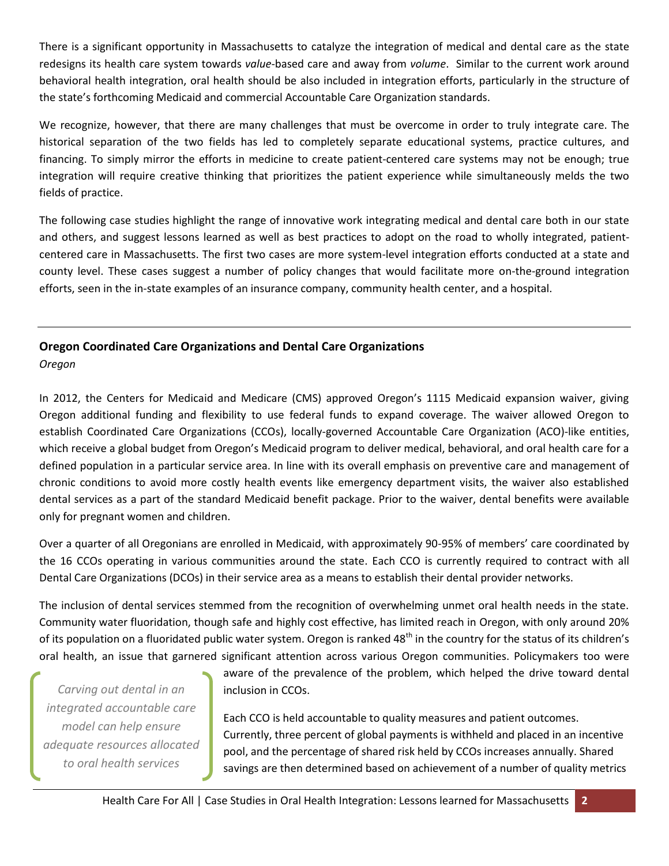There is a significant opportunity in Massachusetts to catalyze the integration of medical and dental care as the state redesigns its health care system towards *value*-based care and away from *volume*. Similar to the current work around behavioral health integration, oral health should be also included in integration efforts, particularly in the structure of the state's forthcoming Medicaid and commercial Accountable Care Organization standards.

We recognize, however, that there are many challenges that must be overcome in order to truly integrate care. The historical separation of the two fields has led to completely separate educational systems, practice cultures, and financing. To simply mirror the efforts in medicine to create patient-centered care systems may not be enough; true integration will require creative thinking that prioritizes the patient experience while simultaneously melds the two fields of practice.

The following case studies highlight the range of innovative work integrating medical and dental care both in our state and others, and suggest lessons learned as well as best practices to adopt on the road to wholly integrated, patientcentered care in Massachusetts. The first two cases are more system-level integration efforts conducted at a state and county level. These cases suggest a number of policy changes that would facilitate more on-the-ground integration efforts, seen in the in-state examples of an insurance company, community health center, and a hospital.

# **Oregon Coordinated Care Organizations and Dental Care Organizations**

*Oregon*

In 2012, the Centers for Medicaid and Medicare (CMS) approved Oregon's 1115 Medicaid expansion waiver, giving Oregon additional funding and flexibility to use federal funds to expand coverage. The waiver allowed Oregon to establish Coordinated Care Organizations (CCOs), locally-governed Accountable Care Organization (ACO)-like entities, which receive a global budget from Oregon's Medicaid program to deliver medical, behavioral, and oral health care for a defined population in a particular service area. In line with its overall emphasis on preventive care and management of chronic conditions to avoid more costly health events like emergency department visits, the waiver also established dental services as a part of the standard Medicaid benefit package. Prior to the waiver, dental benefits were available only for pregnant women and children.

Over a quarter of all Oregonians are enrolled in Medicaid, with approximately 90-95% of members' care coordinated by the 16 CCOs operating in various communities around the state. Each CCO is currently required to contract with all Dental Care Organizations (DCOs) in their service area as a means to establish their dental provider networks.

The inclusion of dental services stemmed from the recognition of overwhelming unmet oral health needs in the state. Community water fluoridation, though safe and highly cost effective, has limited reach in Oregon, with only around 20% of its population on a fluoridated public water system. Oregon is ranked 48<sup>th</sup> in the country for the status of its children's oral health, an issue that garnered significant attention across various Oregon communities. Policymakers too were

*Carving out dental in an integrated accountable care model can help ensure adequate resources allocated to oral health services*

aware of the prevalence of the problem, which helped the drive toward dental inclusion in CCOs.

Each CCO is held accountable to quality measures and patient outcomes. Currently, three percent of global payments is withheld and placed in an incentive pool, and the percentage of shared risk held by CCOs increases annually. Shared savings are then determined based on achievement of a number of quality metrics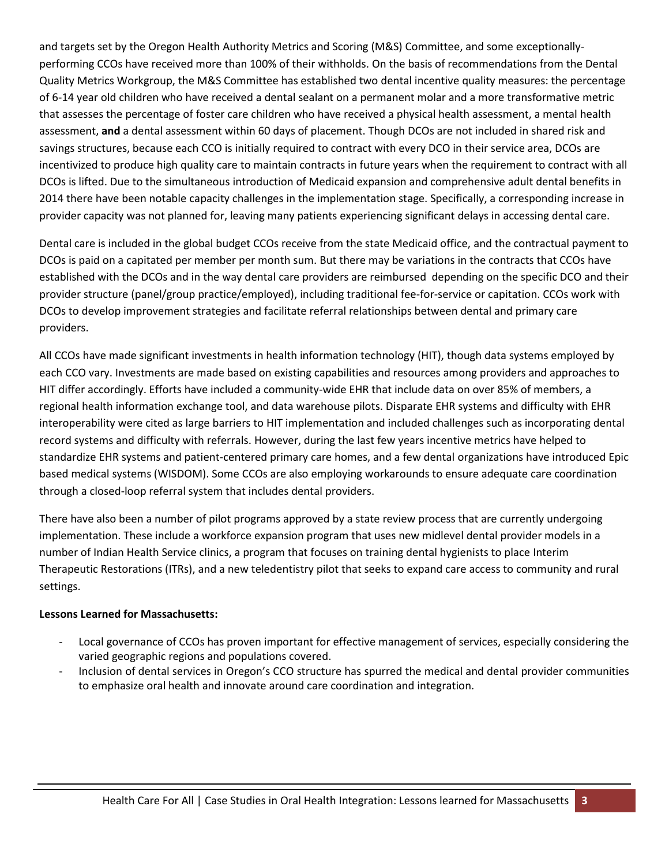and targets set by the Oregon Health Authority Metrics and Scoring (M&S) Committee, and some exceptionallyperforming CCOs have received more than 100% of their withholds. On the basis of recommendations from the Dental Quality Metrics Workgroup, the M&S Committee has established two dental incentive quality measures: the percentage of 6-14 year old children who have received a dental sealant on a permanent molar and a more transformative metric that assesses the percentage of foster care children who have received a physical health assessment, a mental health assessment, **and** a dental assessment within 60 days of placement. Though DCOs are not included in shared risk and savings structures, because each CCO is initially required to contract with every DCO in their service area, DCOs are incentivized to produce high quality care to maintain contracts in future years when the requirement to contract with all DCOs is lifted. Due to the simultaneous introduction of Medicaid expansion and comprehensive adult dental benefits in 2014 there have been notable capacity challenges in the implementation stage. Specifically, a corresponding increase in provider capacity was not planned for, leaving many patients experiencing significant delays in accessing dental care.

Dental care is included in the global budget CCOs receive from the state Medicaid office, and the contractual payment to DCOs is paid on a capitated per member per month sum. But there may be variations in the contracts that CCOs have established with the DCOs and in the way dental care providers are reimbursed depending on the specific DCO and their provider structure (panel/group practice/employed), including traditional fee-for-service or capitation. CCOs work with DCOs to develop improvement strategies and facilitate referral relationships between dental and primary care providers.

All CCOs have made significant investments in health information technology (HIT), though data systems employed by each CCO vary. Investments are made based on existing capabilities and resources among providers and approaches to HIT differ accordingly. Efforts have included a community-wide EHR that include data on over 85% of members, a regional health information exchange tool, and data warehouse pilots. Disparate EHR systems and difficulty with EHR interoperability were cited as large barriers to HIT implementation and included challenges such as incorporating dental record systems and difficulty with referrals. However, during the last few years incentive metrics have helped to standardize EHR systems and patient-centered primary care homes, and a few dental organizations have introduced Epic based medical systems (WISDOM). Some CCOs are also employing workarounds to ensure adequate care coordination through a closed-loop referral system that includes dental providers.

There have also been a number of pilot programs approved by a state review process that are currently undergoing implementation. These include a workforce expansion program that uses new midlevel dental provider models in a number of Indian Health Service clinics, a program that focuses on training dental hygienists to place Interim Therapeutic Restorations (ITRs), and a new teledentistry pilot that seeks to expand care access to community and rural settings.

# **Lessons Learned for Massachusetts:**

- Local governance of CCOs has proven important for effective management of services, especially considering the varied geographic regions and populations covered.
- Inclusion of dental services in Oregon's CCO structure has spurred the medical and dental provider communities to emphasize oral health and innovate around care coordination and integration.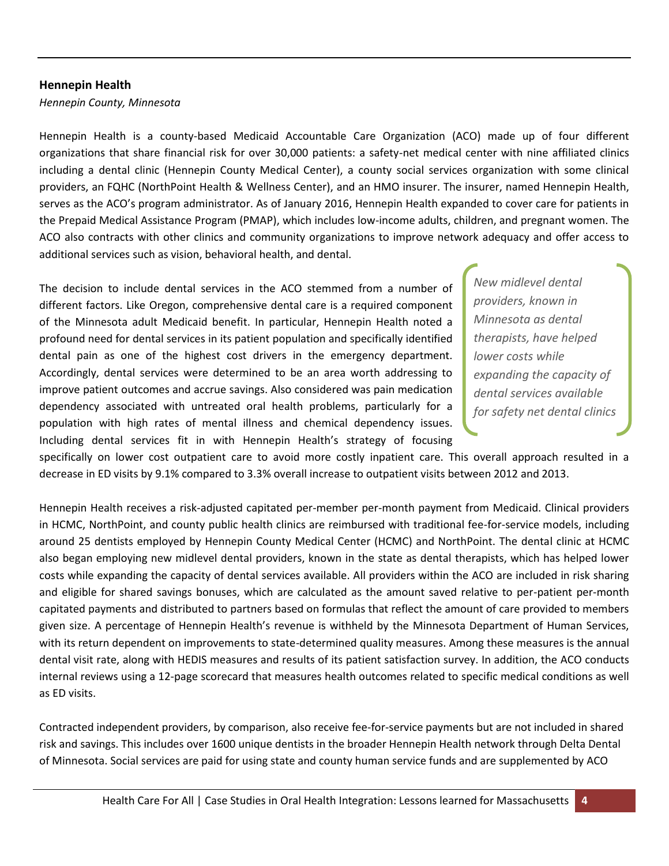#### **Hennepin Health**

*Hennepin County, Minnesota*

Hennepin Health is a county-based Medicaid Accountable Care Organization (ACO) made up of four different organizations that share financial risk for over 30,000 patients: a safety-net medical center with nine affiliated clinics including a dental clinic (Hennepin County Medical Center), a county social services organization with some clinical providers, an FQHC (NorthPoint Health & Wellness Center), and an HMO insurer. The insurer, named Hennepin Health, serves as the ACO's program administrator. As of January 2016, Hennepin Health expanded to cover care for patients in the Prepaid Medical Assistance Program (PMAP), which includes low-income adults, children, and pregnant women. The ACO also contracts with other clinics and community organizations to improve network adequacy and offer access to additional services such as vision, behavioral health, and dental.

The decision to include dental services in the ACO stemmed from a number of different factors. Like Oregon, comprehensive dental care is a required component of the Minnesota adult Medicaid benefit. In particular, Hennepin Health noted a profound need for dental services in its patient population and specifically identified dental pain as one of the highest cost drivers in the emergency department. Accordingly, dental services were determined to be an area worth addressing to improve patient outcomes and accrue savings. Also considered was pain medication dependency associated with untreated oral health problems, particularly for a population with high rates of mental illness and chemical dependency issues. Including dental services fit in with Hennepin Health's strategy of focusing

*New midlevel dental providers, known in Minnesota as dental therapists, have helped lower costs while expanding the capacity of dental services available for safety net dental clinics*

specifically on lower cost outpatient care to avoid more costly inpatient care. This overall approach resulted in a decrease in ED visits by 9.1% compared to 3.3% overall increase to outpatient visits between 2012 and 2013.

Hennepin Health receives a risk-adjusted capitated per-member per-month payment from Medicaid. Clinical providers in HCMC, NorthPoint, and county public health clinics are reimbursed with traditional fee-for-service models, including around 25 dentists employed by Hennepin County Medical Center (HCMC) and NorthPoint. The dental clinic at HCMC also began employing new midlevel dental providers, known in the state as dental therapists, which has helped lower costs while expanding the capacity of dental services available. All providers within the ACO are included in risk sharing and eligible for shared savings bonuses, which are calculated as the amount saved relative to per-patient per-month capitated payments and distributed to partners based on formulas that reflect the amount of care provided to members given size. A percentage of Hennepin Health's revenue is withheld by the Minnesota Department of Human Services, with its return dependent on improvements to state-determined quality measures. Among these measures is the annual dental visit rate, along with HEDIS measures and results of its patient satisfaction survey. In addition, the ACO conducts internal reviews using a 12-page scorecard that measures health outcomes related to specific medical conditions as well as ED visits.

Contracted independent providers, by comparison, also receive fee-for-service payments but are not included in shared risk and savings. This includes over 1600 unique dentists in the broader Hennepin Health network through Delta Dental of Minnesota. Social services are paid for using state and county human service funds and are supplemented by ACO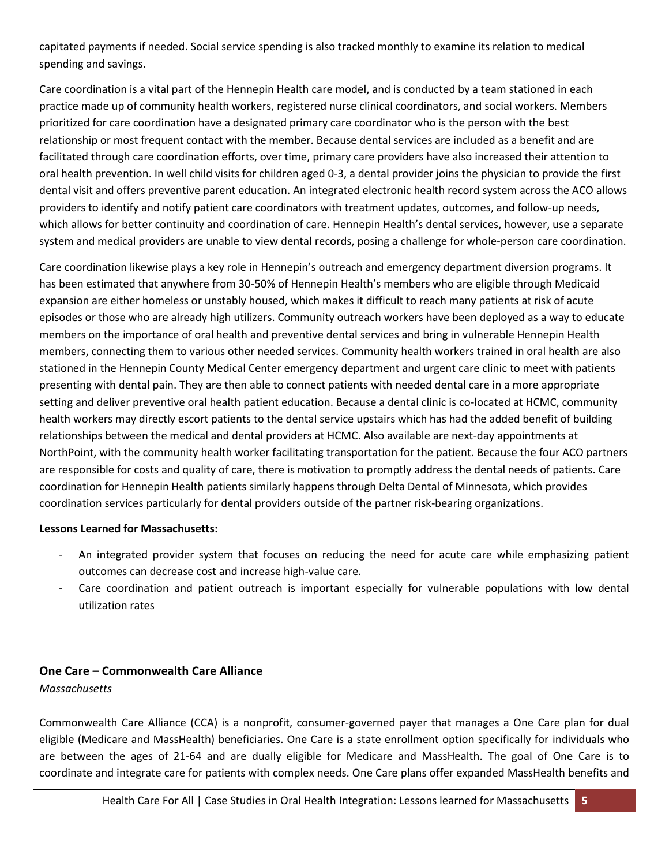capitated payments if needed. Social service spending is also tracked monthly to examine its relation to medical spending and savings.

Care coordination is a vital part of the Hennepin Health care model, and is conducted by a team stationed in each practice made up of community health workers, registered nurse clinical coordinators, and social workers. Members prioritized for care coordination have a designated primary care coordinator who is the person with the best relationship or most frequent contact with the member. Because dental services are included as a benefit and are facilitated through care coordination efforts, over time, primary care providers have also increased their attention to oral health prevention. In well child visits for children aged 0-3, a dental provider joins the physician to provide the first dental visit and offers preventive parent education. An integrated electronic health record system across the ACO allows providers to identify and notify patient care coordinators with treatment updates, outcomes, and follow-up needs, which allows for better continuity and coordination of care. Hennepin Health's dental services, however, use a separate system and medical providers are unable to view dental records, posing a challenge for whole-person care coordination.

Care coordination likewise plays a key role in Hennepin's outreach and emergency department diversion programs. It has been estimated that anywhere from 30-50% of Hennepin Health's members who are eligible through Medicaid expansion are either homeless or unstably housed, which makes it difficult to reach many patients at risk of acute episodes or those who are already high utilizers. Community outreach workers have been deployed as a way to educate members on the importance of oral health and preventive dental services and bring in vulnerable Hennepin Health members, connecting them to various other needed services. Community health workers trained in oral health are also stationed in the Hennepin County Medical Center emergency department and urgent care clinic to meet with patients presenting with dental pain. They are then able to connect patients with needed dental care in a more appropriate setting and deliver preventive oral health patient education. Because a dental clinic is co-located at HCMC, community health workers may directly escort patients to the dental service upstairs which has had the added benefit of building relationships between the medical and dental providers at HCMC. Also available are next-day appointments at NorthPoint, with the community health worker facilitating transportation for the patient. Because the four ACO partners are responsible for costs and quality of care, there is motivation to promptly address the dental needs of patients. Care coordination for Hennepin Health patients similarly happens through Delta Dental of Minnesota, which provides coordination services particularly for dental providers outside of the partner risk-bearing organizations.

# **Lessons Learned for Massachusetts:**

- An integrated provider system that focuses on reducing the need for acute care while emphasizing patient outcomes can decrease cost and increase high-value care.
- Care coordination and patient outreach is important especially for vulnerable populations with low dental utilization rates

# **One Care – Commonwealth Care Alliance**

*Massachusetts*

Commonwealth Care Alliance (CCA) is a nonprofit, consumer-governed payer that manages a One Care plan for dual eligible (Medicare and MassHealth) beneficiaries. One Care is a state enrollment option specifically for individuals who are between the ages of 21-64 and are dually eligible for Medicare and MassHealth. The goal of One Care is to coordinate and integrate care for patients with complex needs. One Care plans offer expanded MassHealth benefits and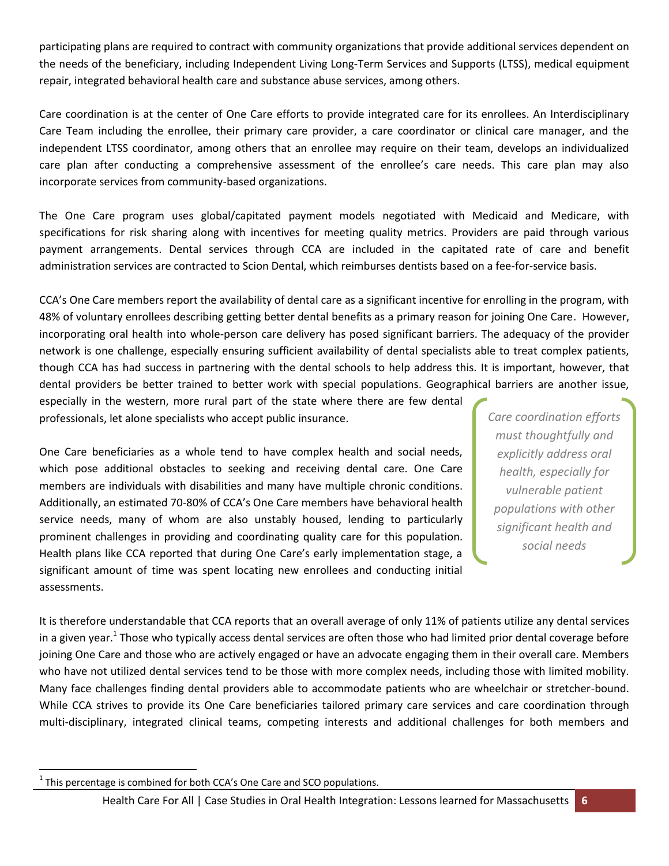participating plans are required to contract with community organizations that provide additional services dependent on the needs of the beneficiary, including Independent Living Long-Term Services and Supports (LTSS), medical equipment repair, integrated behavioral health care and substance abuse services, among others.

Care coordination is at the center of One Care efforts to provide integrated care for its enrollees. An Interdisciplinary Care Team including the enrollee, their primary care provider, a care coordinator or clinical care manager, and the independent LTSS coordinator, among others that an enrollee may require on their team, develops an individualized care plan after conducting a comprehensive assessment of the enrollee's care needs. This care plan may also incorporate services from community-based organizations.

The One Care program uses global/capitated payment models negotiated with Medicaid and Medicare, with specifications for risk sharing along with incentives for meeting quality metrics. Providers are paid through various payment arrangements. Dental services through CCA are included in the capitated rate of care and benefit administration services are contracted to Scion Dental, which reimburses dentists based on a fee-for-service basis.

CCA's One Care members report the availability of dental care as a significant incentive for enrolling in the program, with 48% of voluntary enrollees describing getting better dental benefits as a primary reason for joining One Care. However, incorporating oral health into whole-person care delivery has posed significant barriers. The adequacy of the provider network is one challenge, especially ensuring sufficient availability of dental specialists able to treat complex patients, though CCA has had success in partnering with the dental schools to help address this. It is important, however, that dental providers be better trained to better work with special populations. Geographical barriers are another issue,

especially in the western, more rural part of the state where there are few dental professionals, let alone specialists who accept public insurance.

One Care beneficiaries as a whole tend to have complex health and social needs, which pose additional obstacles to seeking and receiving dental care. One Care members are individuals with disabilities and many have multiple chronic conditions. Additionally, an estimated 70-80% of CCA's One Care members have behavioral health service needs, many of whom are also unstably housed, lending to particularly prominent challenges in providing and coordinating quality care for this population. Health plans like CCA reported that during One Care's early implementation stage, a significant amount of time was spent locating new enrollees and conducting initial assessments.

*Care coordination efforts must thoughtfully and explicitly address oral health, especially for vulnerable patient populations with other significant health and social needs*

It is therefore understandable that CCA reports that an overall average of only 11% of patients utilize any dental services in a given year.<sup>1</sup> Those who typically access dental services are often those who had limited prior dental coverage before joining One Care and those who are actively engaged or have an advocate engaging them in their overall care. Members who have not utilized dental services tend to be those with more complex needs, including those with limited mobility. Many face challenges finding dental providers able to accommodate patients who are wheelchair or stretcher-bound. While CCA strives to provide its One Care beneficiaries tailored primary care services and care coordination through multi-disciplinary, integrated clinical teams, competing interests and additional challenges for both members and

 $\overline{\phantom{a}}$  $1$  This percentage is combined for both CCA's One Care and SCO populations.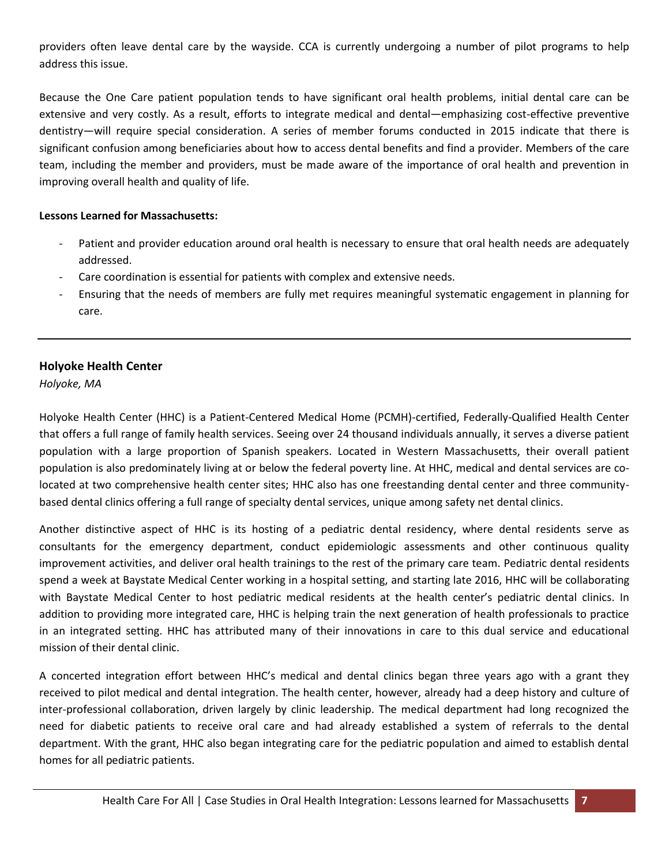providers often leave dental care by the wayside. CCA is currently undergoing a number of pilot programs to help address this issue.

Because the One Care patient population tends to have significant oral health problems, initial dental care can be extensive and very costly. As a result, efforts to integrate medical and dental—emphasizing cost-effective preventive dentistry—will require special consideration. A series of member forums conducted in 2015 indicate that there is significant confusion among beneficiaries about how to access dental benefits and find a provider. Members of the care team, including the member and providers, must be made aware of the importance of oral health and prevention in improving overall health and quality of life.

#### **Lessons Learned for Massachusetts:**

- Patient and provider education around oral health is necessary to ensure that oral health needs are adequately addressed.
- Care coordination is essential for patients with complex and extensive needs.
- Ensuring that the needs of members are fully met requires meaningful systematic engagement in planning for care.

# **Holyoke Health Center**

*Holyoke, MA*

Holyoke Health Center (HHC) is a Patient-Centered Medical Home (PCMH)-certified, Federally-Qualified Health Center that offers a full range of family health services. Seeing over 24 thousand individuals annually, it serves a diverse patient population with a large proportion of Spanish speakers. Located in Western Massachusetts, their overall patient population is also predominately living at or below the federal poverty line. At HHC, medical and dental services are colocated at two comprehensive health center sites; HHC also has one freestanding dental center and three communitybased dental clinics offering a full range of specialty dental services, unique among safety net dental clinics.

Another distinctive aspect of HHC is its hosting of a pediatric dental residency, where dental residents serve as consultants for the emergency department, conduct epidemiologic assessments and other continuous quality improvement activities, and deliver oral health trainings to the rest of the primary care team. Pediatric dental residents spend a week at Baystate Medical Center working in a hospital setting, and starting late 2016, HHC will be collaborating with Baystate Medical Center to host pediatric medical residents at the health center's pediatric dental clinics. In addition to providing more integrated care, HHC is helping train the next generation of health professionals to practice in an integrated setting. HHC has attributed many of their innovations in care to this dual service and educational mission of their dental clinic.

A concerted integration effort between HHC's medical and dental clinics began three years ago with a grant they received to pilot medical and dental integration. The health center, however, already had a deep history and culture of inter-professional collaboration, driven largely by clinic leadership. The medical department had long recognized the need for diabetic patients to receive oral care and had already established a system of referrals to the dental department. With the grant, HHC also began integrating care for the pediatric population and aimed to establish dental homes for all pediatric patients.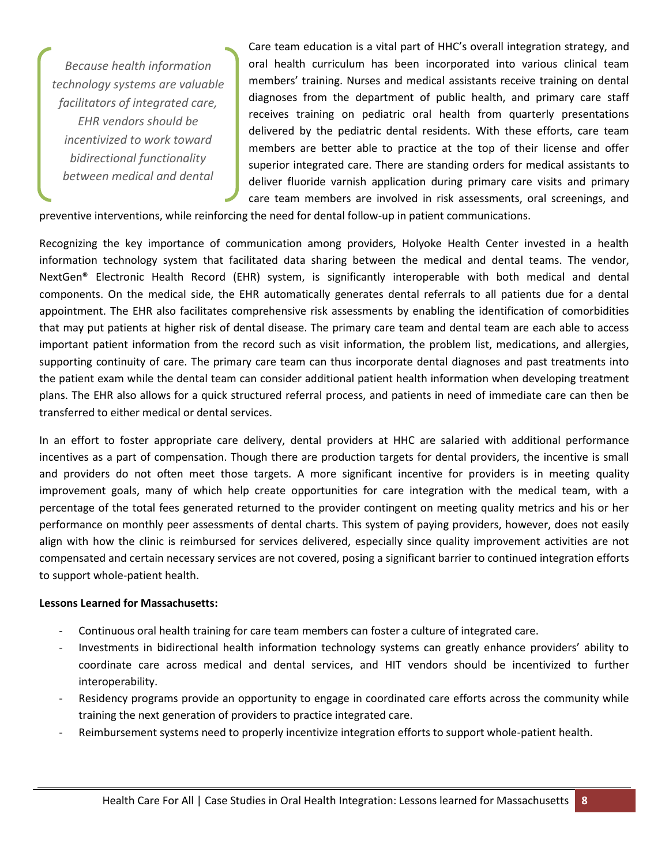*Because health information technology systems are valuable facilitators of integrated care, EHR vendors should be incentivized to work toward bidirectional functionality between medical and dental*

Care team education is a vital part of HHC's overall integration strategy, and oral health curriculum has been incorporated into various clinical team members' training. Nurses and medical assistants receive training on dental diagnoses from the department of public health, and primary care staff receives training on pediatric oral health from quarterly presentations delivered by the pediatric dental residents. With these efforts, care team members are better able to practice at the top of their license and offer superior integrated care. There are standing orders for medical assistants to deliver fluoride varnish application during primary care visits and primary care team members are involved in risk assessments, oral screenings, and

preventive interventions, while reinforcing the need for dental follow-up in patient communications.

Recognizing the key importance of communication among providers, Holyoke Health Center invested in a health information technology system that facilitated data sharing between the medical and dental teams. The vendor, NextGen® Electronic Health Record (EHR) system, is significantly interoperable with both medical and dental components. On the medical side, the EHR automatically generates dental referrals to all patients due for a dental appointment. The EHR also facilitates comprehensive risk assessments by enabling the identification of comorbidities that may put patients at higher risk of dental disease. The primary care team and dental team are each able to access important patient information from the record such as visit information, the problem list, medications, and allergies, supporting continuity of care. The primary care team can thus incorporate dental diagnoses and past treatments into the patient exam while the dental team can consider additional patient health information when developing treatment plans. The EHR also allows for a quick structured referral process, and patients in need of immediate care can then be transferred to either medical or dental services.

In an effort to foster appropriate care delivery, dental providers at HHC are salaried with additional performance incentives as a part of compensation. Though there are production targets for dental providers, the incentive is small and providers do not often meet those targets. A more significant incentive for providers is in meeting quality improvement goals, many of which help create opportunities for care integration with the medical team, with a percentage of the total fees generated returned to the provider contingent on meeting quality metrics and his or her performance on monthly peer assessments of dental charts. This system of paying providers, however, does not easily align with how the clinic is reimbursed for services delivered, especially since quality improvement activities are not compensated and certain necessary services are not covered, posing a significant barrier to continued integration efforts to support whole-patient health.

#### **Lessons Learned for Massachusetts:**

- Continuous oral health training for care team members can foster a culture of integrated care.
- Investments in bidirectional health information technology systems can greatly enhance providers' ability to coordinate care across medical and dental services, and HIT vendors should be incentivized to further interoperability.
- Residency programs provide an opportunity to engage in coordinated care efforts across the community while training the next generation of providers to practice integrated care.
- Reimbursement systems need to properly incentivize integration efforts to support whole-patient health.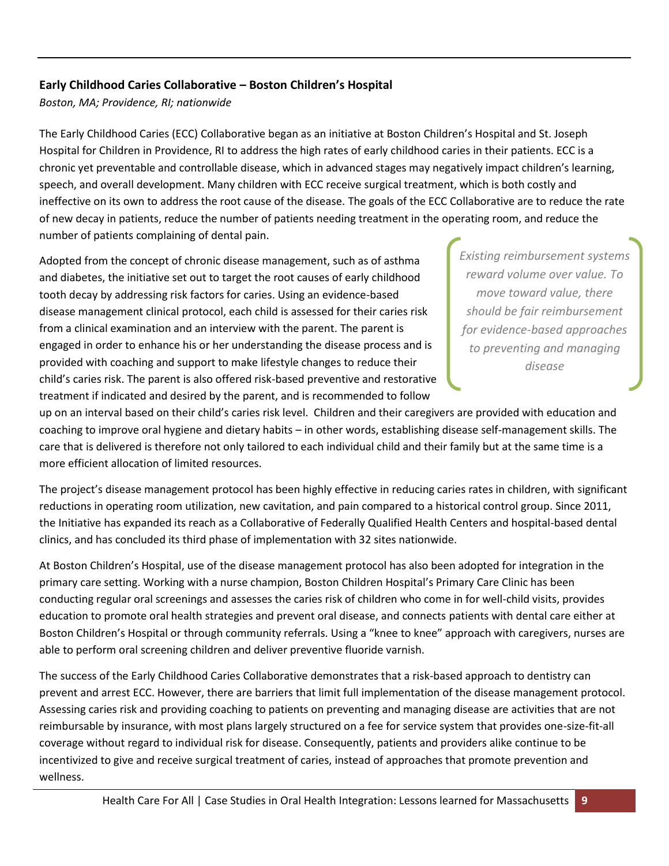# **Early Childhood Caries Collaborative – Boston Children's Hospital**

*Boston, MA; Providence, RI; nationwide*

The Early Childhood Caries (ECC) Collaborative began as an initiative at Boston Children's Hospital and St. Joseph Hospital for Children in Providence, RI to address the high rates of early childhood caries in their patients. ECC is a chronic yet preventable and controllable disease, which in advanced stages may negatively impact children's learning, speech, and overall development. Many children with ECC receive surgical treatment, which is both costly and ineffective on its own to address the root cause of the disease. The goals of the ECC Collaborative are to reduce the rate of new decay in patients, reduce the number of patients needing treatment in the operating room, and reduce the number of patients complaining of dental pain.

Adopted from the concept of chronic disease management, such as of asthma and diabetes, the initiative set out to target the root causes of early childhood tooth decay by addressing risk factors for caries. Using an evidence-based disease management clinical protocol, each child is assessed for their caries risk from a clinical examination and an interview with the parent. The parent is engaged in order to enhance his or her understanding the disease process and is provided with coaching and support to make lifestyle changes to reduce their child's caries risk. The parent is also offered risk-based preventive and restorative treatment if indicated and desired by the parent, and is recommended to follow

*Existing reimbursement systems reward volume over value. To move toward value, there should be fair reimbursement for evidence-based approaches to preventing and managing disease*

up on an interval based on their child's caries risk level. Children and their caregivers are provided with education and coaching to improve oral hygiene and dietary habits – in other words, establishing disease self-management skills. The care that is delivered is therefore not only tailored to each individual child and their family but at the same time is a more efficient allocation of limited resources.

The project's disease management protocol has been highly effective in reducing caries rates in children, with significant reductions in operating room utilization, new cavitation, and pain compared to a historical control group. Since 2011, the Initiative has expanded its reach as a Collaborative of Federally Qualified Health Centers and hospital-based dental clinics, and has concluded its third phase of implementation with 32 sites nationwide.

At Boston Children's Hospital, use of the disease management protocol has also been adopted for integration in the primary care setting. Working with a nurse champion, Boston Children Hospital's Primary Care Clinic has been conducting regular oral screenings and assesses the caries risk of children who come in for well-child visits, provides education to promote oral health strategies and prevent oral disease, and connects patients with dental care either at Boston Children's Hospital or through community referrals. Using a "knee to knee" approach with caregivers, nurses are able to perform oral screening children and deliver preventive fluoride varnish.

The success of the Early Childhood Caries Collaborative demonstrates that a risk-based approach to dentistry can prevent and arrest ECC. However, there are barriers that limit full implementation of the disease management protocol. Assessing caries risk and providing coaching to patients on preventing and managing disease are activities that are not reimbursable by insurance, with most plans largely structured on a fee for service system that provides one-size-fit-all coverage without regard to individual risk for disease. Consequently, patients and providers alike continue to be incentivized to give and receive surgical treatment of caries, instead of approaches that promote prevention and wellness.